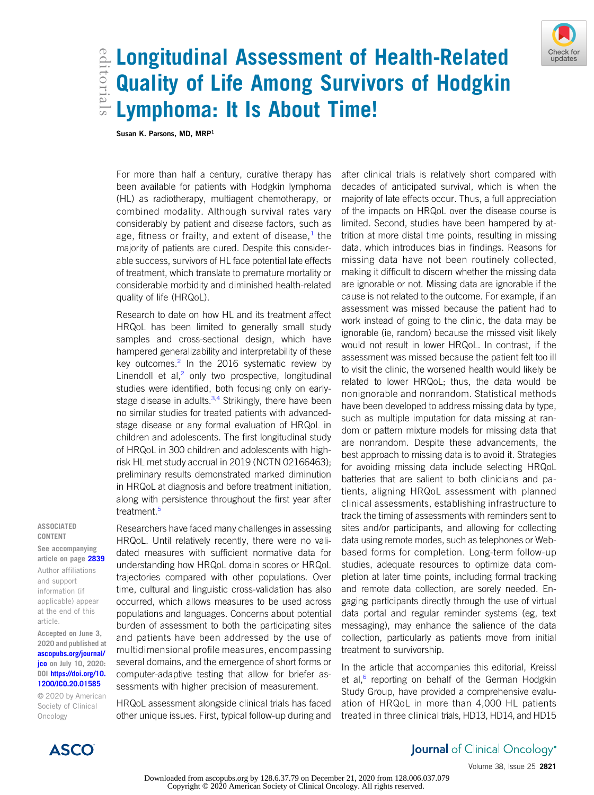

# edial Longitudinal Assessment of Health-Related<br>Editoriality of Life Among Survivors of Hodgkin<br>Edit Lymphoma: It Is About Time! Quality of Life Among Survivors of Hodgkin Lymphoma: It Is About Time!

Susan K. Parsons, MD, MRP<sup>1</sup>

For more than half a century, curative therapy has been available for patients with Hodgkin lymphoma (HL) as radiotherapy, multiagent chemotherapy, or combined modality. Although survival rates vary considerably by patient and disease factors, such as age, fitness or frailty, and extent of disease, $<sup>1</sup>$  $<sup>1</sup>$  $<sup>1</sup>$  the</sup> majority of patients are cured. Despite this considerable success, survivors of HL face potential late effects of treatment, which translate to premature mortality or considerable morbidity and diminished health-related quality of life (HRQoL).

Research to date on how HL and its treatment affect HRQoL has been limited to generally small study samples and cross-sectional design, which have hampered generalizability and interpretability of these key outcomes. $2$  In the 2016 systematic review by Linendoll et al, $<sup>2</sup>$  $<sup>2</sup>$  $<sup>2</sup>$  only two prospective, longitudinal</sup> studies were identified, both focusing only on earlystage disease in adults. $3,4$  $3,4$  Strikingly, there have been no similar studies for treated patients with advancedstage disease or any formal evaluation of HRQoL in children and adolescents. The first longitudinal study of HRQoL in 300 children and adolescents with highrisk HL met study accrual in 2019 (NCTN 02166463); preliminary results demonstrated marked diminution in HRQoL at diagnosis and before treatment initiation, along with persistence throughout the first year after treatment.<sup>[5](#page-2-4)</sup>

#### ASSOCIATED CONTENT

See accompanying article on page [2839](http://ascopubs.org/doi/full/10.1200/JCO.19.03160) Author affiliations and support information (if

applicable) appear at the end of this article.

Accepted on June 3, 2020 and published at [ascopubs.org/journal/](http://ascopubs.org/journal/jco) **[jco](http://ascopubs.org/journal/jco)** on July 10, 2020: DOI [https://doi.org/10.](http://ascopubs.org/doi/full/10.1200/JCO.20.01585) [1200/JCO.20.01585](http://ascopubs.org/doi/full/10.1200/JCO.20.01585)

© 2020 by American Society of Clinical Oncology

Researchers have faced many challenges in assessing HRQoL. Until relatively recently, there were no validated measures with sufficient normative data for understanding how HRQoL domain scores or HRQoL trajectories compared with other populations. Over time, cultural and linguistic cross-validation has also occurred, which allows measures to be used across populations and languages. Concerns about potential burden of assessment to both the participating sites and patients have been addressed by the use of multidimensional profile measures, encompassing several domains, and the emergence of short forms or computer-adaptive testing that allow for briefer assessments with higher precision of measurement.

HRQoL assessment alongside clinical trials has faced other unique issues. First, typical follow-up during and

after clinical trials is relatively short compared with decades of anticipated survival, which is when the majority of late effects occur. Thus, a full appreciation of the impacts on HRQoL over the disease course is limited. Second, studies have been hampered by attrition at more distal time points, resulting in missing data, which introduces bias in findings. Reasons for missing data have not been routinely collected, making it difficult to discern whether the missing data are ignorable or not. Missing data are ignorable if the cause is not related to the outcome. For example, if an assessment was missed because the patient had to work instead of going to the clinic, the data may be ignorable (ie, random) because the missed visit likely would not result in lower HRQoL. In contrast, if the assessment was missed because the patient felt too ill to visit the clinic, the worsened health would likely be related to lower HRQoL; thus, the data would be nonignorable and nonrandom. Statistical methods have been developed to address missing data by type, such as multiple imputation for data missing at random or pattern mixture models for missing data that are nonrandom. Despite these advancements, the best approach to missing data is to avoid it. Strategies for avoiding missing data include selecting HRQoL batteries that are salient to both clinicians and patients, aligning HRQoL assessment with planned clinical assessments, establishing infrastructure to track the timing of assessments with reminders sent to sites and/or participants, and allowing for collecting data using remote modes, such as telephones or Webbased forms for completion. Long-term follow-up studies, adequate resources to optimize data completion at later time points, including formal tracking and remote data collection, are sorely needed. Engaging participants directly through the use of virtual data portal and regular reminder systems (eg, text messaging), may enhance the salience of the data collection, particularly as patients move from initial treatment to survivorship.

In the article that accompanies this editorial, Kreissl et al, $^6$  $^6$  reporting on behalf of the German Hodgkin Study Group, have provided a comprehensive evaluation of HRQoL in more than 4,000 HL patients treated in three clinical trials, HD13, HD14, and HD15



Check for

**ASCO** 

## **Journal** of Clinical Oncology®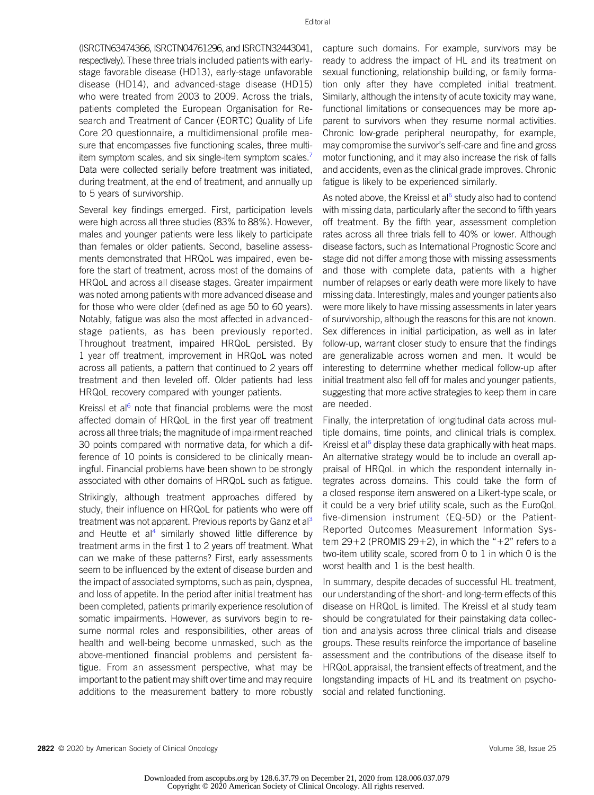(ISRCTN63474366, ISRCTN04761296, and ISRCTN32443041, respectively). These three trials included patients with earlystage favorable disease (HD13), early-stage unfavorable disease (HD14), and advanced-stage disease (HD15) who were treated from 2003 to 2009. Across the trials, patients completed the European Organisation for Research and Treatment of Cancer (EORTC) Quality of Life Core 20 questionnaire, a multidimensional profile measure that encompasses five functioning scales, three multiitem symptom scales, and six single-item symptom scales.<sup>7</sup> Data were collected serially before treatment was initiated, during treatment, at the end of treatment, and annually up to 5 years of survivorship.

Several key findings emerged. First, participation levels were high across all three studies (83% to 88%). However, males and younger patients were less likely to participate than females or older patients. Second, baseline assessments demonstrated that HRQoL was impaired, even before the start of treatment, across most of the domains of HRQoL and across all disease stages. Greater impairment was noted among patients with more advanced disease and for those who were older (defined as age 50 to 60 years). Notably, fatigue was also the most affected in advancedstage patients, as has been previously reported. Throughout treatment, impaired HRQoL persisted. By 1 year off treatment, improvement in HRQoL was noted across all patients, a pattern that continued to 2 years off treatment and then leveled off. Older patients had less HRQoL recovery compared with younger patients.

Kreissl et al $6$  note that financial problems were the most affected domain of HRQoL in the first year off treatment across all three trials; the magnitude of impairment reached 30 points compared with normative data, for which a difference of 10 points is considered to be clinically meaningful. Financial problems have been shown to be strongly associated with other domains of HRQoL such as fatigue.

Strikingly, although treatment approaches differed by study, their influence on HRQoL for patients who were off treatment was not apparent. Previous reports by Ganz et al<sup>[3](#page-2-2)</sup> and Heutte et al<sup>[4](#page-2-3)</sup> similarly showed little difference by treatment arms in the first 1 to 2 years off treatment. What can we make of these patterns? First, early assessments seem to be influenced by the extent of disease burden and the impact of associated symptoms, such as pain, dyspnea, and loss of appetite. In the period after initial treatment has been completed, patients primarily experience resolution of somatic impairments. However, as survivors begin to resume normal roles and responsibilities, other areas of health and well-being become unmasked, such as the above-mentioned financial problems and persistent fatigue. From an assessment perspective, what may be important to the patient may shift over time and may require additions to the measurement battery to more robustly capture such domains. For example, survivors may be ready to address the impact of HL and its treatment on sexual functioning, relationship building, or family formation only after they have completed initial treatment. Similarly, although the intensity of acute toxicity may wane, functional limitations or consequences may be more apparent to survivors when they resume normal activities. Chronic low-grade peripheral neuropathy, for example, may compromise the survivor's self-care and fine and gross motor functioning, and it may also increase the risk of falls and accidents, even as the clinical grade improves. Chronic fatigue is likely to be experienced similarly.

As noted above, the Kreissl et al<sup>[6](#page-2-5)</sup> study also had to contend with missing data, particularly after the second to fifth years off treatment. By the fifth year, assessment completion rates across all three trials fell to 40% or lower. Although disease factors, such as International Prognostic Score and stage did not differ among those with missing assessments and those with complete data, patients with a higher number of relapses or early death were more likely to have missing data. Interestingly, males and younger patients also were more likely to have missing assessments in later years of survivorship, although the reasons for this are not known. Sex differences in initial participation, as well as in later follow-up, warrant closer study to ensure that the findings are generalizable across women and men. It would be interesting to determine whether medical follow-up after initial treatment also fell off for males and younger patients, suggesting that more active strategies to keep them in care are needed.

Finally, the interpretation of longitudinal data across multiple domains, time points, and clinical trials is complex. Kreissl et al<sup>[6](#page-2-5)</sup> display these data graphically with heat maps. An alternative strategy would be to include an overall appraisal of HRQoL in which the respondent internally integrates across domains. This could take the form of a closed response item answered on a Likert-type scale, or it could be a very brief utility scale, such as the EuroQoL five-dimension instrument (EQ-5D) or the Patient-Reported Outcomes Measurement Information System 29+2 (PROMIS 29+2), in which the "+2" refers to a two-item utility scale, scored from 0 to 1 in which 0 is the worst health and 1 is the best health.

In summary, despite decades of successful HL treatment, our understanding of the short- and long-term effects of this disease on HRQoL is limited. The Kreissl et al study team should be congratulated for their painstaking data collection and analysis across three clinical trials and disease groups. These results reinforce the importance of baseline assessment and the contributions of the disease itself to HRQoL appraisal, the transient effects of treatment, and the longstanding impacts of HL and its treatment on psychosocial and related functioning.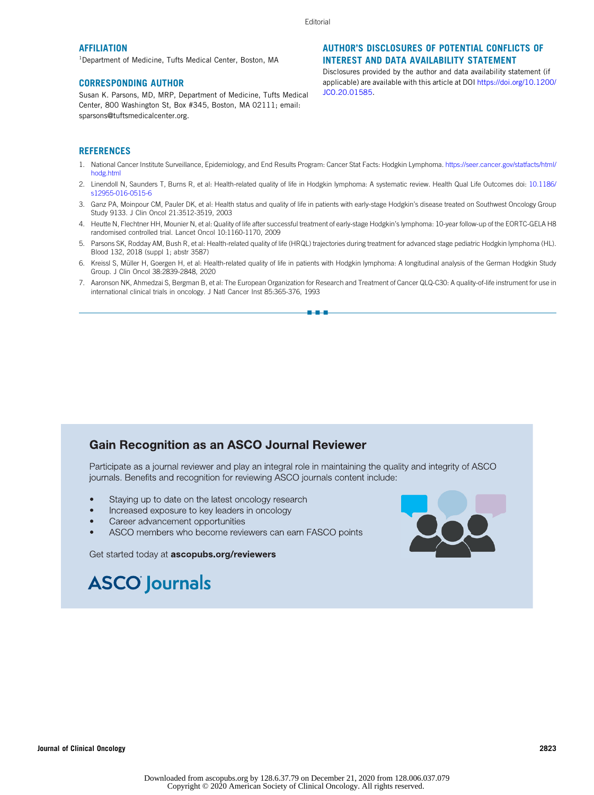Editorial

#### **AFFILIATION**

1 Department of Medicine, Tufts Medical Center, Boston, MA

#### CORRESPONDING AUTHOR

Susan K. Parsons, MD, MRP, Department of Medicine, Tufts Medical Center, 800 Washington St, Box #345, Boston, MA 02111; email: [sparsons@tuftsmedicalcenter.org.](mailto:sparsons@tuftsmedicalcenter.org.)

### AUTHOR'S DISCLOSURES OF POTENTIAL CONFLICTS OF INTEREST AND DATA AVAILABILITY STATEMENT

Disclosures provided by the author and data availability statement (if applicable) are available with this article at DOI [https://doi.org/10.1200/](http://ascopubs.org/doi/full/10.1200/JCO.20.01585) [JCO.20.01585.](http://ascopubs.org/doi/full/10.1200/JCO.20.01585)

#### **REFERENCES**

- <span id="page-2-0"></span>1. National Cancer Institute Surveillance, Epidemiology, and End Results Program: Cancer Stat Facts: Hodgkin Lymphoma. [https://seer.cancer.gov/statfacts/html/](https://seer.cancer.gov/statfacts/html/hodg.html) [hodg.html](https://seer.cancer.gov/statfacts/html/hodg.html)
- <span id="page-2-1"></span>2. Linendoll N, Saunders T, Burns R, et al: Health-related quality of life in Hodgkin lymphoma: A systematic review. Health Qual Life Outcomes doi: [10.1186/](http://dx.doi.org/10.1186/s12955-016-0515-6) [s12955-016-0515-6](http://dx.doi.org/10.1186/s12955-016-0515-6)
- <span id="page-2-2"></span>3. Ganz PA, Moinpour CM, Pauler DK, et al: Health status and quality of life in patients with early-stage Hodgkin's disease treated on Southwest Oncology Group Study 9133. J Clin Oncol 21:3512-3519, 2003
- <span id="page-2-3"></span>4. Heutte N, Flechtner HH, Mounier N, et al: Quality of life after successful treatment of early-stage Hodgkin's lymphoma: 10-year follow-up of the EORTC-GELA H8 randomised controlled trial. Lancet Oncol 10:1160-1170, 2009
- <span id="page-2-4"></span>5. Parsons SK, Rodday AM, Bush R, et al: Health-related quality of life (HRQL) trajectories during treatment for advanced stage pediatric Hodgkin lymphoma (HL). Blood 132, 2018 (suppl 1; abstr 3587)
- <span id="page-2-5"></span>6. Kreissl S, Müller H, Goergen H, et al: Health-related quality of life in patients with Hodgkin lymphoma: A longitudinal analysis of the German Hodgkin Study Group. J Clin Oncol 38:2839-2848, 2020
- <span id="page-2-6"></span>7. Aaronson NK, Ahmedzai S, Bergman B, et al: The European Organization for Research and Treatment of Cancer QLQ-C30: A quality-of-life instrument for use in international clinical trials in oncology. J Natl Cancer Inst 85:365-376, 1993

n-a-a

## **Gain Recognition as an ASCO Journal Reviewer**

Participate as a journal reviewer and play an integral role in maintaining the quality and integrity of ASCO journals. Benefits and recognition for reviewing ASCO journals content include:

- Staying up to date on the latest oncology research
- Increased exposure to key leaders in oncology  $\bullet$
- Career advancement opportunities
- ASCO members who become reviewers can earn FASCO points

Get started today at ascopubs.org/reviewers



## **ASCO** Journals